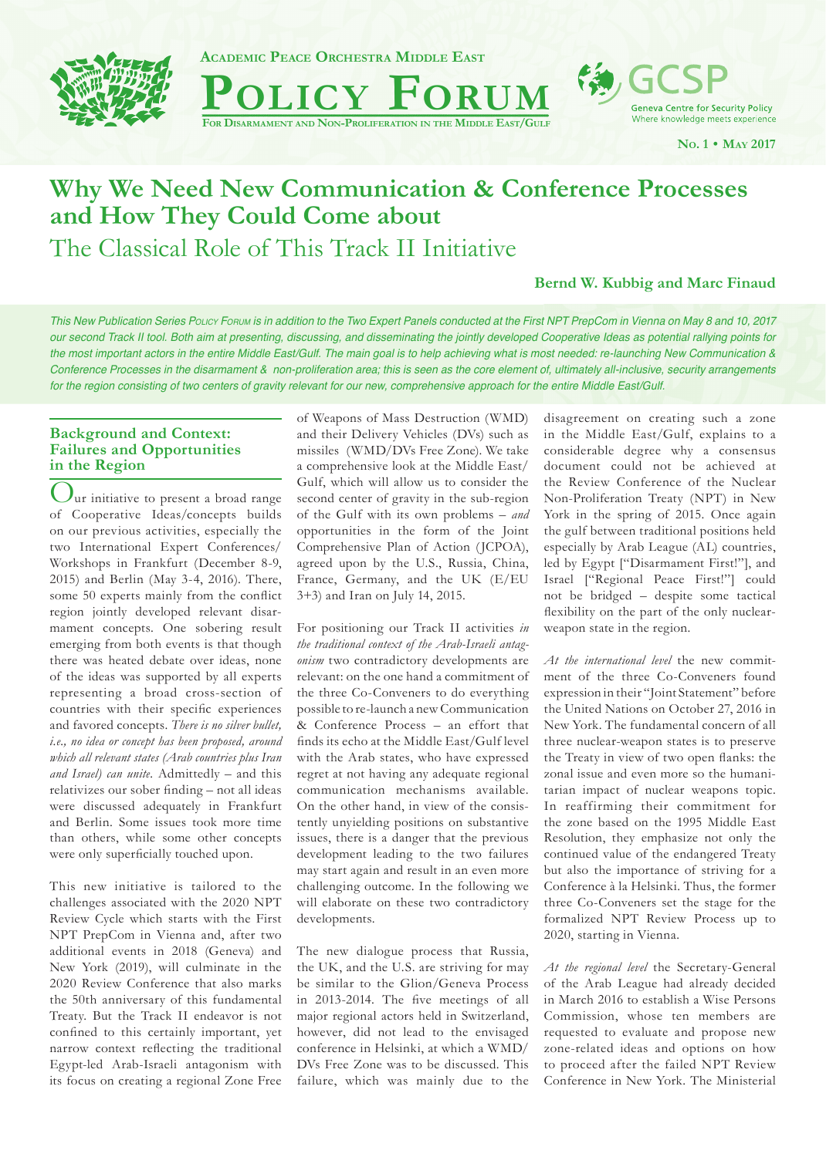

**ACADEMIC PEACE ORCHESTRA MIDDLE EAST**

**POLICY FORUM Geneva Centre for Security Policy** 

Where knowledge meets experience

**NO. 1 • MAY 2017**

# **Why We Need New Communication & Conference Processes and How They Could Come about**

The Classical Role of This Track II Initiative

# **Bernd W. Kubbig and Marc Finaud**

*This New Publication Series POLICY FORUM is in addition to the Two Expert Panels conducted at the First NPT PrepCom in Vienna on May 8 and 10, 2017 our second Track II tool. Both aim at presenting, discussing, and disseminating the jointly developed Cooperative Ideas as potential rallying points for the most important actors in the entire Middle East/Gulf. The main goal is to help achieving what is most needed: re-launching New Communication & Conference Processes in the disarmament & non-proliferation area; this is seen as the core element of, ultimately all-inclusive, security arrangements for the region consisting of two centers of gravity relevant for our new, comprehensive approach for the entire Middle East/Gulf.*

# **Background and Context: Failures and Opportunities in the Region**

 $\int$ ur initiative to present a broad range of Cooperative Ideas/concepts builds on our previous activities, especially the two International Expert Conferences/ Workshops in Frankfurt (December 8-9, 2015) and Berlin (May 3-4, 2016). There, some 50 experts mainly from the conflict region jointly developed relevant disarmament concepts. One sobering result emerging from both events is that though there was heated debate over ideas, none of the ideas was supported by all experts representing a broad cross-section of countries with their specific experiences and favored concepts. *There is no silver bullet, i.e., no idea or concept has been proposed, around which all relevant states (Arab countries plus Iran and Israel) can unite.* Admittedly – and this relativizes our sober finding – not all ideas were discussed adequately in Frankfurt and Berlin. Some issues took more time than others, while some other concepts were only superficially touched upon.

This new initiative is tailored to the challenges associated with the 2020 NPT Review Cycle which starts with the First NPT PrepCom in Vienna and, after two additional events in 2018 (Geneva) and New York (2019), will culminate in the 2020 Review Conference that also marks the 50th anniversary of this fundamental Treaty. But the Track II endeavor is not confined to this certainly important, yet narrow context reflecting the traditional Egypt-led Arab-Israeli antagonism with its focus on creating a regional Zone Free of Weapons of Mass Destruction (WMD) and their Delivery Vehicles (DVs) such as missiles (WMD/DVs Free Zone). We take a comprehensive look at the Middle East/ Gulf, which will allow us to consider the second center of gravity in the sub-region of the Gulf with its own problems – *and* opportunities in the form of the Joint Comprehensive Plan of Action (JCPOA), agreed upon by the U.S., Russia, China, France, Germany, and the UK (E/EU 3+3) and Iran on July 14, 2015.

For positioning our Track II activities *in the traditional context of the Arab-Israeli antagonism* two contradictory developments are relevant: on the one hand a commitment of the three Co-Conveners to do everything possible to re-launch a new Communication & Conference Process – an effort that finds its echo at the Middle East/Gulf level with the Arab states, who have expressed regret at not having any adequate regional communication mechanisms available. On the other hand, in view of the consistently unyielding positions on substantive issues, there is a danger that the previous development leading to the two failures may start again and result in an even more challenging outcome. In the following we will elaborate on these two contradictory developments.

The new dialogue process that Russia, the UK, and the U.S. are striving for may be similar to the Glion/Geneva Process in 2013-2014. The five meetings of all major regional actors held in Switzerland, however, did not lead to the envisaged conference in Helsinki, at which a WMD/ DVs Free Zone was to be discussed. This failure, which was mainly due to the disagreement on creating such a zone in the Middle East/Gulf, explains to a considerable degree why a consensus document could not be achieved at the Review Conference of the Nuclear Non-Proliferation Treaty (NPT) in New York in the spring of 2015. Once again the gulf between traditional positions held especially by Arab League (AL) countries, led by Egypt ["Disarmament First!"], and Israel ["Regional Peace First!"] could not be bridged – despite some tactical flexibility on the part of the only nuclearweapon state in the region.

*At the international level* the new commitment of the three Co-Conveners found expression in their "Joint Statement" before the United Nations on October 27, 2016 in New York. The fundamental concern of all three nuclear-weapon states is to preserve the Treaty in view of two open flanks: the zonal issue and even more so the humanitarian impact of nuclear weapons topic. In reaffirming their commitment for the zone based on the 1995 Middle East Resolution, they emphasize not only the continued value of the endangered Treaty but also the importance of striving for a Conference à la Helsinki. Thus, the former three Co-Conveners set the stage for the formalized NPT Review Process up to 2020, starting in Vienna.

*At the regional level* the Secretary-General of the Arab League had already decided in March 2016 to establish a Wise Persons Commission, whose ten members are requested to evaluate and propose new zone-related ideas and options on how to proceed after the failed NPT Review Conference in New York. The Ministerial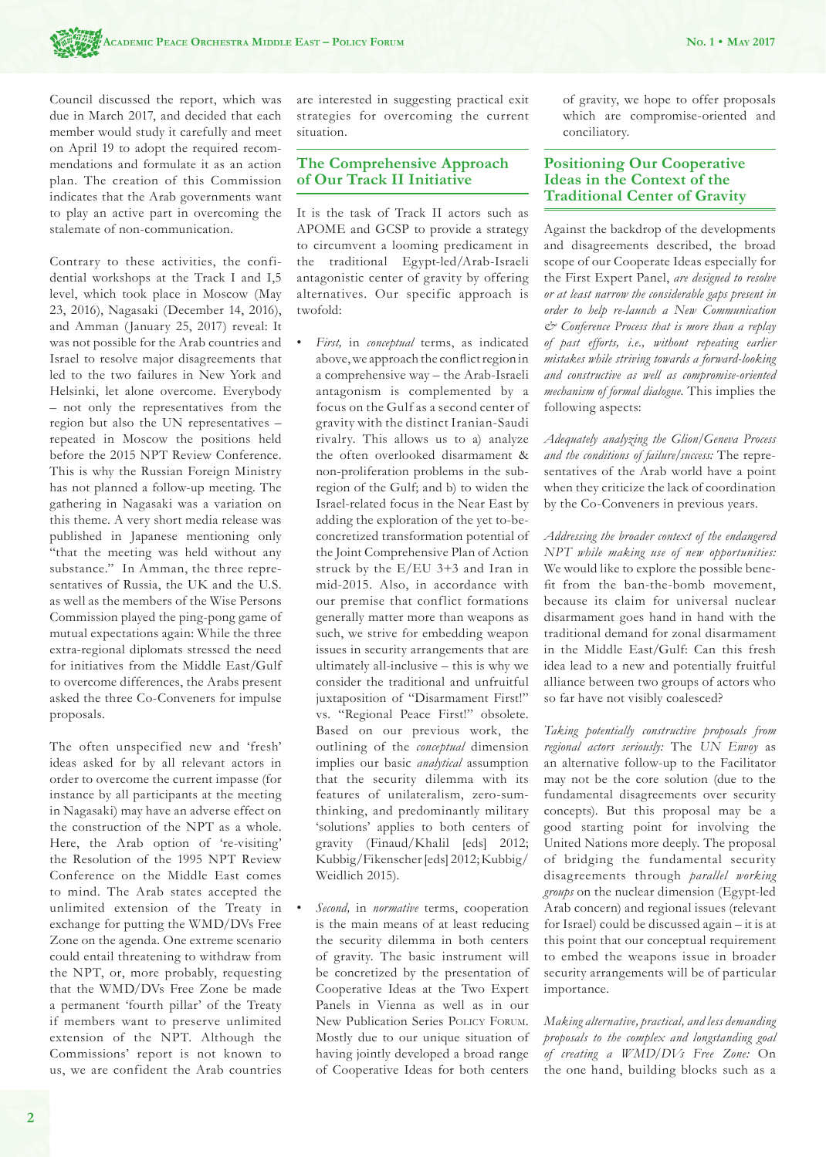Council discussed the report, which was due in March 2017, and decided that each member would study it carefully and meet on April 19 to adopt the required recommendations and formulate it as an action plan. The creation of this Commission indicates that the Arab governments want to play an active part in overcoming the stalemate of non-communication.

Contrary to these activities, the confidential workshops at the Track I and I,5 level, which took place in Moscow (May 23, 2016), Nagasaki (December 14, 2016), and Amman (January 25, 2017) reveal: It was not possible for the Arab countries and Israel to resolve major disagreements that led to the two failures in New York and Helsinki, let alone overcome. Everybody – not only the representatives from the region but also the UN representatives – repeated in Moscow the positions held before the 2015 NPT Review Conference. This is why the Russian Foreign Ministry has not planned a follow-up meeting. The gathering in Nagasaki was a variation on this theme. A very short media release was published in Japanese mentioning only "that the meeting was held without any substance." In Amman, the three representatives of Russia, the UK and the U.S. as well as the members of the Wise Persons Commission played the ping-pong game of mutual expectations again: While the three extra-regional diplomats stressed the need for initiatives from the Middle East/Gulf to overcome differences, the Arabs present asked the three Co-Conveners for impulse proposals.

The often unspecified new and 'fresh' ideas asked for by all relevant actors in order to overcome the current impasse (for instance by all participants at the meeting in Nagasaki) may have an adverse effect on the construction of the NPT as a whole. Here, the Arab option of 're-visiting' the Resolution of the 1995 NPT Review Conference on the Middle East comes to mind. The Arab states accepted the unlimited extension of the Treaty in exchange for putting the WMD/DVs Free Zone on the agenda. One extreme scenario could entail threatening to withdraw from the NPT, or, more probably, requesting that the WMD/DVs Free Zone be made a permanent 'fourth pillar' of the Treaty if members want to preserve unlimited extension of the NPT. Although the Commissions' report is not known to us, we are confident the Arab countries are interested in suggesting practical exit strategies for overcoming the current situation.

#### **The Comprehensive Approach of Our Track II Initiative**

It is the task of Track II actors such as APOME and GCSP to provide a strategy to circumvent a looming predicament in the traditional Egypt-led/Arab-Israeli antagonistic center of gravity by offering alternatives. Our specific approach is twofold:

- *First,* in *conceptual* terms, as indicated above, we approach the conflict region in a comprehensive way – the Arab-Israeli antagonism is complemented by a focus on the Gulf as a second center of gravity with the distinct Iranian-Saudi rivalry. This allows us to a) analyze the often overlooked disarmament & non-proliferation problems in the subregion of the Gulf; and b) to widen the Israel-related focus in the Near East by adding the exploration of the yet to-beconcretized transformation potential of the Joint Comprehensive Plan of Action struck by the E/EU 3+3 and Iran in mid-2015. Also, in accordance with our premise that conflict formations generally matter more than weapons as such, we strive for embedding weapon issues in security arrangements that are ultimately all-inclusive – this is why we consider the traditional and unfruitful juxtaposition of "Disarmament First!" vs. "Regional Peace First!" obsolete. Based on our previous work, the outlining of the *conceptual* dimension implies our basic *analytical* assumption that the security dilemma with its features of unilateralism, zero-sumthinking, and predominantly military 'solutions' applies to both centers of gravity (Finaud/Khalil [eds] 2012; Kubbig/Fikenscher [eds] 2012; Kubbig/ Weidlich 2015).
- *Second,* in *normative* terms, cooperation is the main means of at least reducing the security dilemma in both centers of gravity. The basic instrument will be concretized by the presentation of Cooperative Ideas at the Two Expert Panels in Vienna as well as in our New Publication Series POLICY FORUM. Mostly due to our unique situation of having jointly developed a broad range of Cooperative Ideas for both centers

of gravity, we hope to offer proposals which are compromise-oriented and conciliatory.

## **Positioning Our Cooperative Ideas in the Context of the Traditional Center of Gravity**

Against the backdrop of the developments and disagreements described, the broad scope of our Cooperate Ideas especially for the First Expert Panel, *are designed to resolve or at least narrow the considerable gaps present in order to help re-launch a New Communication & Conference Process that is more than a replay of past efforts, i.e., without repeating earlier mistakes while striving towards a forward-looking and constructive as well as compromise-oriented mechanism of formal dialogue.* This implies the following aspects:

*Adequately analyzing the Glion/Geneva Process and the conditions of failure/success:* The representatives of the Arab world have a point when they criticize the lack of coordination by the Co-Conveners in previous years.

*Addressing the broader context of the endangered NPT while making use of new opportunities:* We would like to explore the possible benefit from the ban-the-bomb movement. because its claim for universal nuclear disarmament goes hand in hand with the traditional demand for zonal disarmament in the Middle East/Gulf: Can this fresh idea lead to a new and potentially fruitful alliance between two groups of actors who so far have not visibly coalesced?

*Taking potentially constructive proposals from regional actors seriously:* The *UN Envoy* as an alternative follow-up to the Facilitator may not be the core solution (due to the fundamental disagreements over security concepts). But this proposal may be a good starting point for involving the United Nations more deeply. The proposal of bridging the fundamental security disagreements through *parallel working groups* on the nuclear dimension (Egypt-led Arab concern) and regional issues (relevant for Israel) could be discussed again – it is at this point that our conceptual requirement to embed the weapons issue in broader security arrangements will be of particular importance.

*Making alternative, practical, and less demanding proposals to the complex and longstanding goal of creating a WMD/DVs Free Zone:* On the one hand, building blocks such as a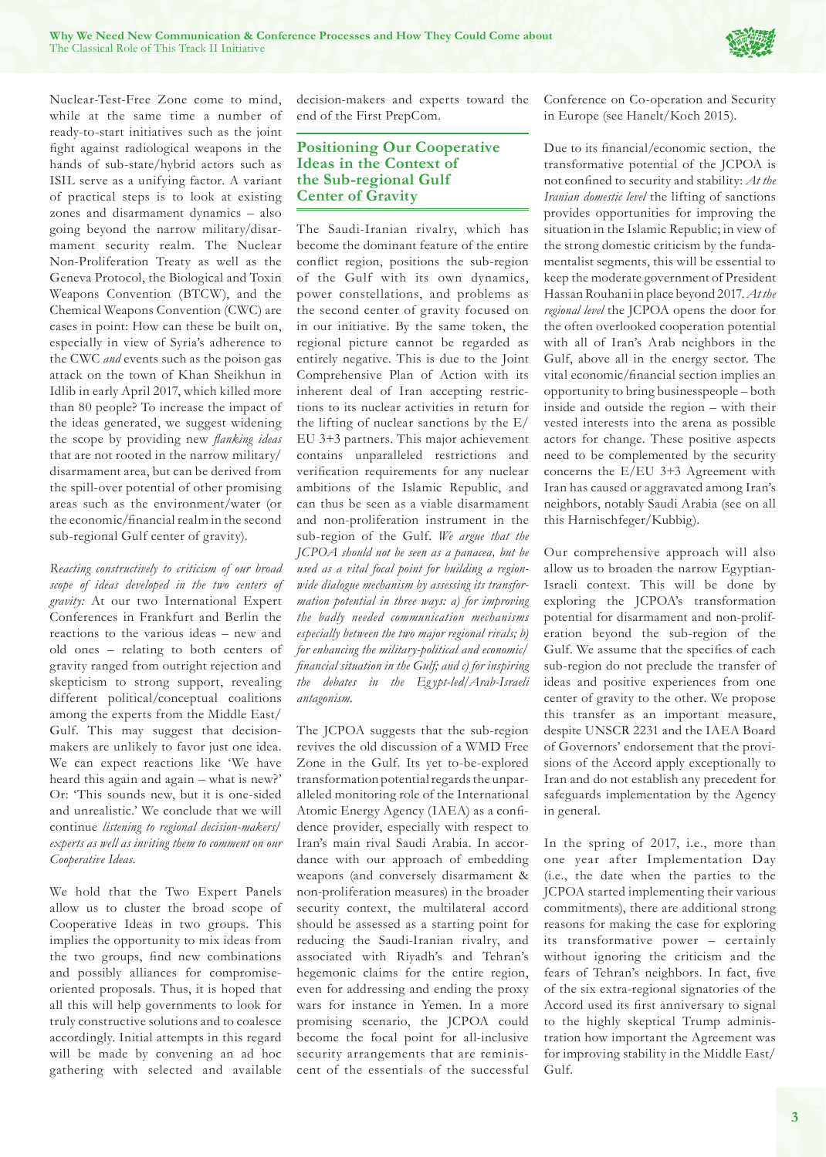

Nuclear-Test-Free Zone come to mind, while at the same time a number of ready-to-start initiatives such as the joint fight against radiological weapons in the hands of sub-state/hybrid actors such as ISIL serve as a unifying factor. A variant of practical steps is to look at existing zones and disarmament dynamics – also going beyond the narrow military/disarmament security realm. The Nuclear Non-Proliferation Treaty as well as the Geneva Protocol, the Biological and Toxin Weapons Convention (BTCW), and the Chemical Weapons Convention (CWC) are cases in point: How can these be built on, especially in view of Syria's adherence to the CWC *and* events such as the poison gas attack on the town of Khan Sheikhun in Idlib in early April 2017, which killed more than 80 people? To increase the impact of the ideas generated, we suggest widening the scope by providing new *flanking ideas* that are not rooted in the narrow military/ disarmament area, but can be derived from the spill-over potential of other promising areas such as the environment/water (or the economic/financial realm in the second sub-regional Gulf center of gravity).

*Reacting constructively to criticism of our broad scope of ideas developed in the two centers of gravity:* At our two International Expert Conferences in Frankfurt and Berlin the reactions to the various ideas – new and old ones – relating to both centers of gravity ranged from outright rejection and skepticism to strong support, revealing different political/conceptual coalitions among the experts from the Middle East/ Gulf. This may suggest that decisionmakers are unlikely to favor just one idea. We can expect reactions like 'We have heard this again and again – what is new?' Or: 'This sounds new, but it is one-sided and unrealistic.' We conclude that we will continue *listening to regional decision-makers/ experts as well as inviting them to comment on our Cooperative Ideas.*

We hold that the Two Expert Panels allow us to cluster the broad scope of Cooperative Ideas in two groups. This implies the opportunity to mix ideas from the two groups, find new combinations and possibly alliances for compromiseoriented proposals. Thus, it is hoped that all this will help governments to look for truly constructive solutions and to coalesce accordingly. Initial attempts in this regard will be made by convening an ad hoc gathering with selected and available decision-makers and experts toward the end of the First PrepCom.

## **Positioning Our Cooperative Ideas in the Context of the Sub-regional Gulf Center of Gravity**

The Saudi-Iranian rivalry, which has become the dominant feature of the entire conflict region, positions the sub-region of the Gulf with its own dynamics, power constellations, and problems as the second center of gravity focused on in our initiative. By the same token, the regional picture cannot be regarded as entirely negative. This is due to the Joint Comprehensive Plan of Action with its inherent deal of Iran accepting restrictions to its nuclear activities in return for the lifting of nuclear sanctions by the E/ EU 3+3 partners. This major achievement contains unparalleled restrictions and verification requirements for any nuclear ambitions of the Islamic Republic, and can thus be seen as a viable disarmament and non-proliferation instrument in the sub-region of the Gulf. *We argue that the JCPOA should not be seen as a panacea, but be used as a vital focal point for building a regionwide dialogue mechanism by assessing its transformation potential in three ways: a) for improving the badly needed communication mechanisms especially between the two major regional rivals; b) for enhancing the military-political and economic/ fi nancial situation in the Gulf; and c) for inspiring the debates in the Eg ypt-led/Arab-Israeli antagonism.* 

The JCPOA suggests that the sub-region revives the old discussion of a WMD Free Zone in the Gulf. Its yet to-be-explored transformation potential regards the unparalleled monitoring role of the International Atomic Energy Agency (IAEA) as a confidence provider, especially with respect to Iran's main rival Saudi Arabia. In accordance with our approach of embedding weapons (and conversely disarmament & non-proliferation measures) in the broader security context, the multilateral accord should be assessed as a starting point for reducing the Saudi-Iranian rivalry, and associated with Riyadh's and Tehran's hegemonic claims for the entire region, even for addressing and ending the proxy wars for instance in Yemen. In a more promising scenario, the JCPOA could become the focal point for all-inclusive security arrangements that are reminiscent of the essentials of the successful Conference on Co-operation and Security in Europe (see Hanelt/Koch 2015).

Due to its financial/economic section, the transformative potential of the JCPOA is not confined to security and stability: At the *Iranian domestic level* the lifting of sanctions provides opportunities for improving the situation in the Islamic Republic; in view of the strong domestic criticism by the fundamentalist segments, this will be essential to keep the moderate government of President Hassan Rouhani in place beyond 2017. *At the regional level* the JCPOA opens the door for the often overlooked cooperation potential with all of Iran's Arab neighbors in the Gulf, above all in the energy sector. The vital economic/financial section implies an opportunity to bring businesspeople – both inside and outside the region – with their vested interests into the arena as possible actors for change. These positive aspects need to be complemented by the security concerns the E/EU 3+3 Agreement with Iran has caused or aggravated among Iran's neighbors, notably Saudi Arabia (see on all this Harnischfeger/Kubbig).

Our comprehensive approach will also allow us to broaden the narrow Egyptian-Israeli context. This will be done by exploring the JCPOA's transformation potential for disarmament and non-proliferation beyond the sub-region of the Gulf. We assume that the specifics of each sub-region do not preclude the transfer of ideas and positive experiences from one center of gravity to the other. We propose this transfer as an important measure, despite UNSCR 2231 and the IAEA Board of Governors' endorsement that the provisions of the Accord apply exceptionally to Iran and do not establish any precedent for safeguards implementation by the Agency in general.

In the spring of 2017, i.e., more than one year after Implementation Day (i.e., the date when the parties to the JCPOA started implementing their various commitments), there are additional strong reasons for making the case for exploring its transformative power – certainly without ignoring the criticism and the fears of Tehran's neighbors. In fact, five of the six extra-regional signatories of the Accord used its first anniversary to signal to the highly skeptical Trump administration how important the Agreement was for improving stability in the Middle East/ Gulf.